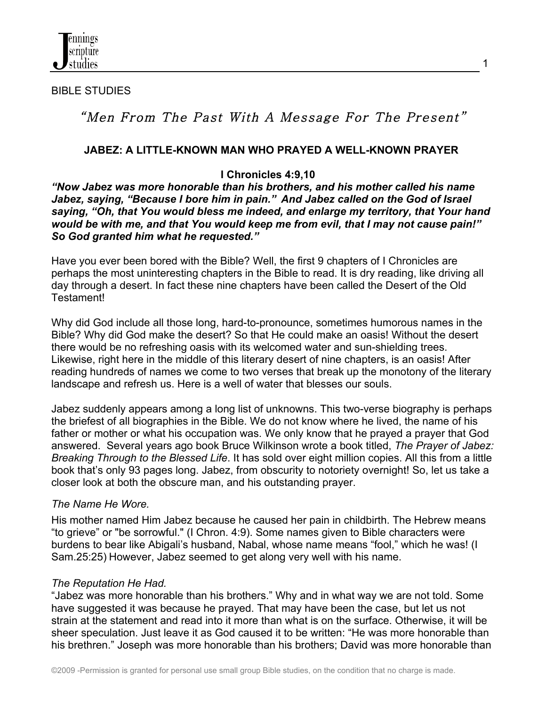

BIBLE STUDIES

# "Men From The Past With A Message For The Present"

### **JABEZ: A LITTLE-KNOWN MAN WHO PRAYED A WELL-KNOWN PRAYER**

### **I Chronicles 4:9,10**

*"Now Jabez was more honorable than his brothers, and his mother called his name Jabez, saying, "Because I bore him in pain." And Jabez called on the God of Israel saying, "Oh, that You would bless me indeed, and enlarge my territory, that Your hand would be with me, and that You would keep me from evil, that I may not cause pain!" So God granted him what he requested."*

Have you ever been bored with the Bible? Well, the first 9 chapters of I Chronicles are perhaps the most uninteresting chapters in the Bible to read. It is dry reading, like driving all day through a desert. In fact these nine chapters have been called the Desert of the Old Testament!

Why did God include all those long, hard-to-pronounce, sometimes humorous names in the Bible? Why did God make the desert? So that He could make an oasis! Without the desert there would be no refreshing oasis with its welcomed water and sun-shielding trees. Likewise, right here in the middle of this literary desert of nine chapters, is an oasis! After reading hundreds of names we come to two verses that break up the monotony of the literary landscape and refresh us. Here is a well of water that blesses our souls.

Jabez suddenly appears among a long list of unknowns. This two-verse biography is perhaps the briefest of all biographies in the Bible. We do not know where he lived, the name of his father or mother or what his occupation was. We only know that he prayed a prayer that God answered. Several years ago book Bruce Wilkinson wrote a book titled, *The Prayer of Jabez: Breaking Through to the Blessed Life*. It has sold over eight million copies. All this from a little book that's only 93 pages long. Jabez, from obscurity to notoriety overnight! So, let us take a closer look at both the obscure man, and his outstanding prayer.

### *The Name He Wore.*

His mother named Him Jabez because he caused her pain in childbirth. The Hebrew means "to grieve" or "be sorrowful." (I Chron. 4:9). Some names given to Bible characters were burdens to bear like Abigali's husband, Nabal, whose name means "fool," which he was! (I Sam.25:25) However, Jabez seemed to get along very well with his name.

### *The Reputation He Had.*

"Jabez was more honorable than his brothers." Why and in what way we are not told. Some have suggested it was because he prayed. That may have been the case, but let us not strain at the statement and read into it more than what is on the surface. Otherwise, it will be sheer speculation. Just leave it as God caused it to be written: "He was more honorable than his brethren." Joseph was more honorable than his brothers; David was more honorable than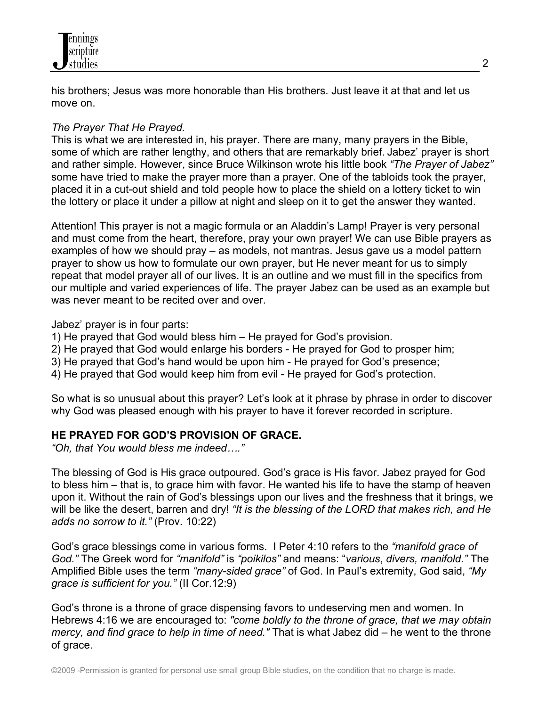

his brothers; Jesus was more honorable than His brothers. Just leave it at that and let us move on.

# *The Prayer That He Prayed.*

This is what we are interested in, his prayer. There are many, many prayers in the Bible, some of which are rather lengthy, and others that are remarkably brief. Jabez' prayer is short and rather simple. However, since Bruce Wilkinson wrote his little book *"The Prayer of Jabez"* some have tried to make the prayer more than a prayer. One of the tabloids took the prayer, placed it in a cut-out shield and told people how to place the shield on a lottery ticket to win the lottery or place it under a pillow at night and sleep on it to get the answer they wanted.

Attention! This prayer is not a magic formula or an Aladdin's Lamp! Prayer is very personal and must come from the heart, therefore, pray your own prayer! We can use Bible prayers as examples of how we should pray – as models, not mantras. Jesus gave us a model pattern prayer to show us how to formulate our own prayer, but He never meant for us to simply repeat that model prayer all of our lives. It is an outline and we must fill in the specifics from our multiple and varied experiences of life. The prayer Jabez can be used as an example but was never meant to be recited over and over.

Jabez' prayer is in four parts:

- 1) He prayed that God would bless him He prayed for God's provision.
- 2) He prayed that God would enlarge his borders He prayed for God to prosper him;
- 3) He prayed that God's hand would be upon him He prayed for God's presence;
- 4) He prayed that God would keep him from evil He prayed for God's protection.

So what is so unusual about this prayer? Let's look at it phrase by phrase in order to discover why God was pleased enough with his prayer to have it forever recorded in scripture.

# **HE PRAYED FOR GOD'S PROVISION OF GRACE.**

*"Oh, that You would bless me indeed…."*

The blessing of God is His grace outpoured. God's grace is His favor. Jabez prayed for God to bless him – that is, to grace him with favor. He wanted his life to have the stamp of heaven upon it. Without the rain of God's blessings upon our lives and the freshness that it brings, we will be like the desert, barren and dry! *"It is the blessing of the LORD that makes rich, and He adds no sorrow to it."* (Prov. 10:22)

God's grace blessings come in various forms. I Peter 4:10 refers to the *"manifold grace of God."* The Greek word for *"manifold"* is *"poikilos"* and means: "*various*, *divers, manifold."* The Amplified Bible uses the term *"many-sided grace"* of God. In Paul's extremity, God said, *"My grace is sufficient for you."* (II Cor.12:9)

God's throne is a throne of grace dispensing favors to undeserving men and women. In Hebrews 4:16 we are encouraged to: *"come boldly to the throne of grace, that we may obtain mercy, and find grace to help in time of need."* That is what Jabez did – he went to the throne of grace.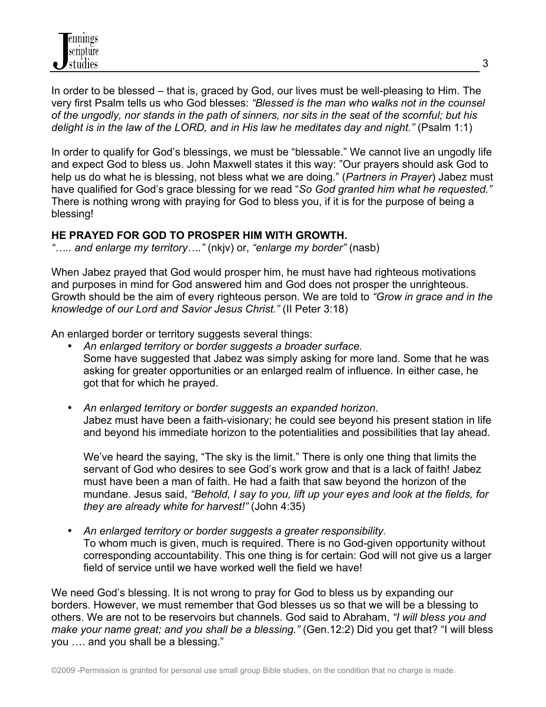

In order to be blessed – that is, graced by God, our lives must be well-pleasing to Him. The very first Psalm tells us who God blesses: *"Blessed is the man who walks not in the counsel of the ungodly, nor stands in the path of sinners, nor sits in the seat of the scornful; but his delight is in the law of the LORD, and in His law he meditates day and night."* (Psalm 1:1)

In order to qualify for God's blessings, we must be "blessable." We cannot live an ungodly life and expect God to bless us. John Maxwell states it this way: "Our prayers should ask God to help us do what he is blessing, not bless what we are doing." (*Partners in Prayer*) Jabez must have qualified for God's grace blessing for we read "*So God granted him what he requested."*  There is nothing wrong with praying for God to bless you, if it is for the purpose of being a blessing!

#### **HE PRAYED FOR GOD TO PROSPER HIM WITH GROWTH.**

*"….. and enlarge my territory…."* (nkjv) or, *"enlarge my border"* (nasb)

When Jabez prayed that God would prosper him, he must have had righteous motivations and purposes in mind for God answered him and God does not prosper the unrighteous. Growth should be the aim of every righteous person. We are told to *"Grow in grace and in the knowledge of our Lord and Savior Jesus Christ."* (II Peter 3:18)

An enlarged border or territory suggests several things:

- *An enlarged territory or border suggests a broader surface.*  Some have suggested that Jabez was simply asking for more land. Some that he was asking for greater opportunities or an enlarged realm of influence. In either case, he got that for which he prayed.
- *An enlarged territory or border suggests an expanded horizon.*  Jabez must have been a faith-visionary; he could see beyond his present station in life and beyond his immediate horizon to the potentialities and possibilities that lay ahead.

We've heard the saying, "The sky is the limit." There is only one thing that limits the servant of God who desires to see God's work grow and that is a lack of faith! Jabez must have been a man of faith. He had a faith that saw beyond the horizon of the mundane. Jesus said, *"Behold, I say to you, lift up your eyes and look at the fields, for they are already white for harvest!"* (John 4:35)

• *An enlarged territory or border suggests a greater responsibility.* To whom much is given, much is required. There is no God-given opportunity without corresponding accountability. This one thing is for certain: God will not give us a larger field of service until we have worked well the field we have!

We need God's blessing. It is not wrong to pray for God to bless us by expanding our borders. However, we must remember that God blesses us so that we will be a blessing to others. We are not to be reservoirs but channels. God said to Abraham, *"I will bless you and make your name great; and you shall be a blessing."* (Gen.12:2) Did you get that? "I will bless you …. and you shall be a blessing."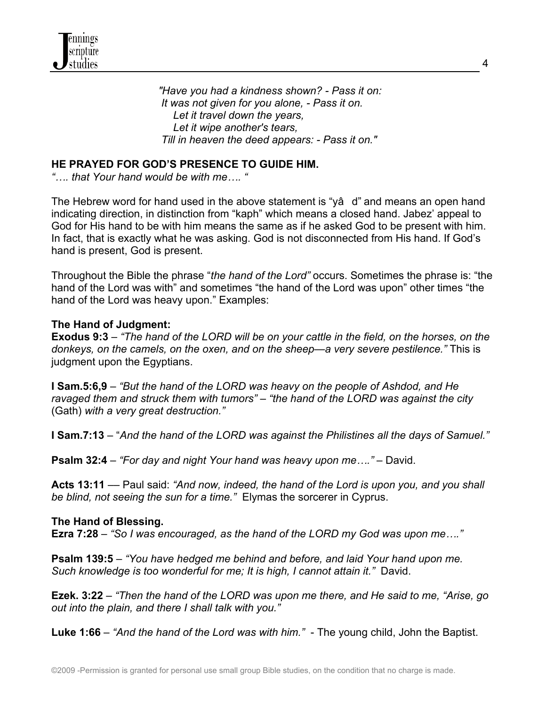*"Have you had a kindness shown? - Pass it on: It was not given for you alone, - Pass it on. Let it travel down the years, Let it wipe another's tears, Till in heaven the deed appears: - Pass it on."*

# **HE PRAYED FOR GOD'S PRESENCE TO GUIDE HIM.**

*"…. that Your hand would be with me…. "*

The Hebrew word for hand used in the above statement is "yâ d" and means an open hand indicating direction, in distinction from "kaph" which means a closed hand. Jabez' appeal to God for His hand to be with him means the same as if he asked God to be present with him. In fact, that is exactly what he was asking. God is not disconnected from His hand. If God's hand is present, God is present.

Throughout the Bible the phrase "*the hand of the Lord"* occurs. Sometimes the phrase is: "the hand of the Lord was with" and sometimes "the hand of the Lord was upon" other times "the hand of the Lord was heavy upon." Examples:

#### **The Hand of Judgment:**

**Exodus 9:3** – *"The hand of the LORD will be on your cattle in the field, on the horses, on the donkeys, on the camels, on the oxen, and on the sheep—a very severe pestilence."* This is judgment upon the Egyptians.

**I Sam.5:6,9** – *"But the hand of the LORD was heavy on the people of Ashdod, and He ravaged them and struck them with tumors" – "the hand of the LORD was against the city*  (Gath) *with a very great destruction."*

**I Sam.7:13** – "*And the hand of the LORD was against the Philistines all the days of Samuel."*

**Psalm 32:4** – *"For day and night Your hand was heavy upon me…."* – David.

**Acts 13:11** –– Paul said: *"And now, indeed, the hand of the Lord is upon you, and you shall be blind, not seeing the sun for a time."* Elymas the sorcerer in Cyprus.

#### **The Hand of Blessing.**

**Ezra 7:28** – *"So I was encouraged, as the hand of the LORD my God was upon me…."*

**Psalm 139:5** – *"You have hedged me behind and before, and laid Your hand upon me. Such knowledge is too wonderful for me; It is high, I cannot attain it."* David.

**Ezek. 3:22** – *"Then the hand of the LORD was upon me there, and He said to me, "Arise, go out into the plain, and there I shall talk with you."*

**Luke 1:66** – *"And the hand of the Lord was with him."* - The young child, John the Baptist.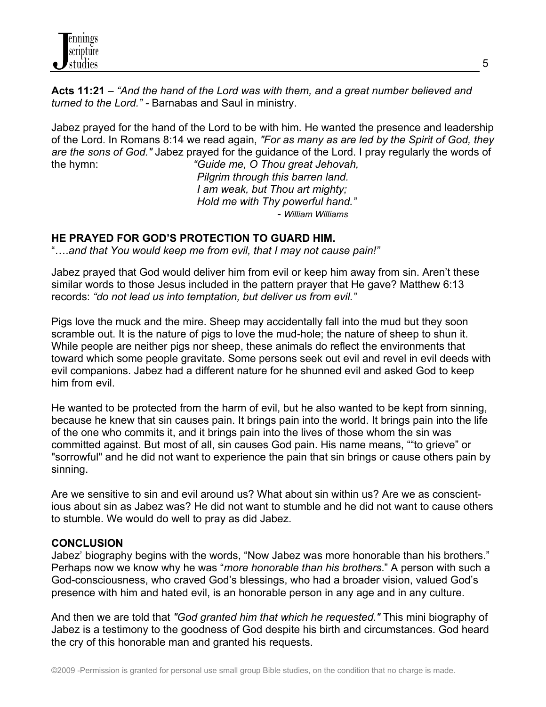**Acts 11:21** – *"And the hand of the Lord was with them, and a great number believed and turned to the Lord." -* Barnabas and Saul in ministry.

Jabez prayed for the hand of the Lord to be with him. He wanted the presence and leadership of the Lord. In Romans 8:14 we read again, *"For as many as are led by the Spirit of God, they are the sons of God."* Jabez prayed for the guidance of the Lord. I pray regularly the words of the hymn: *"Guide me, O Thou great Jehovah,*

 *Pilgrim through this barren land. I am weak, but Thou art mighty; Hold me with Thy powerful hand." - William Williams*

# **HE PRAYED FOR GOD'S PROTECTION TO GUARD HIM.**

"….*and that You would keep me from evil, that I may not cause pain!"*

Jabez prayed that God would deliver him from evil or keep him away from sin. Aren't these similar words to those Jesus included in the pattern prayer that He gave? Matthew 6:13 records: *"do not lead us into temptation, but deliver us from evil."*

Pigs love the muck and the mire. Sheep may accidentally fall into the mud but they soon scramble out. It is the nature of pigs to love the mud-hole; the nature of sheep to shun it. While people are neither pigs nor sheep, these animals do reflect the environments that toward which some people gravitate. Some persons seek out evil and revel in evil deeds with evil companions. Jabez had a different nature for he shunned evil and asked God to keep him from evil.

He wanted to be protected from the harm of evil, but he also wanted to be kept from sinning, because he knew that sin causes pain. It brings pain into the world. It brings pain into the life of the one who commits it, and it brings pain into the lives of those whom the sin was committed against. But most of all, sin causes God pain. His name means, ""to grieve" or "sorrowful" and he did not want to experience the pain that sin brings or cause others pain by sinning.

Are we sensitive to sin and evil around us? What about sin within us? Are we as conscientious about sin as Jabez was? He did not want to stumble and he did not want to cause others to stumble. We would do well to pray as did Jabez.

### **CONCLUSION**

Jabez' biography begins with the words, "Now Jabez was more honorable than his brothers." Perhaps now we know why he was "*more honorable than his brothers*." A person with such a God-consciousness, who craved God's blessings, who had a broader vision, valued God's presence with him and hated evil, is an honorable person in any age and in any culture.

And then we are told that *"God granted him that which he requested."* This mini biography of Jabez is a testimony to the goodness of God despite his birth and circumstances. God heard the cry of this honorable man and granted his requests.